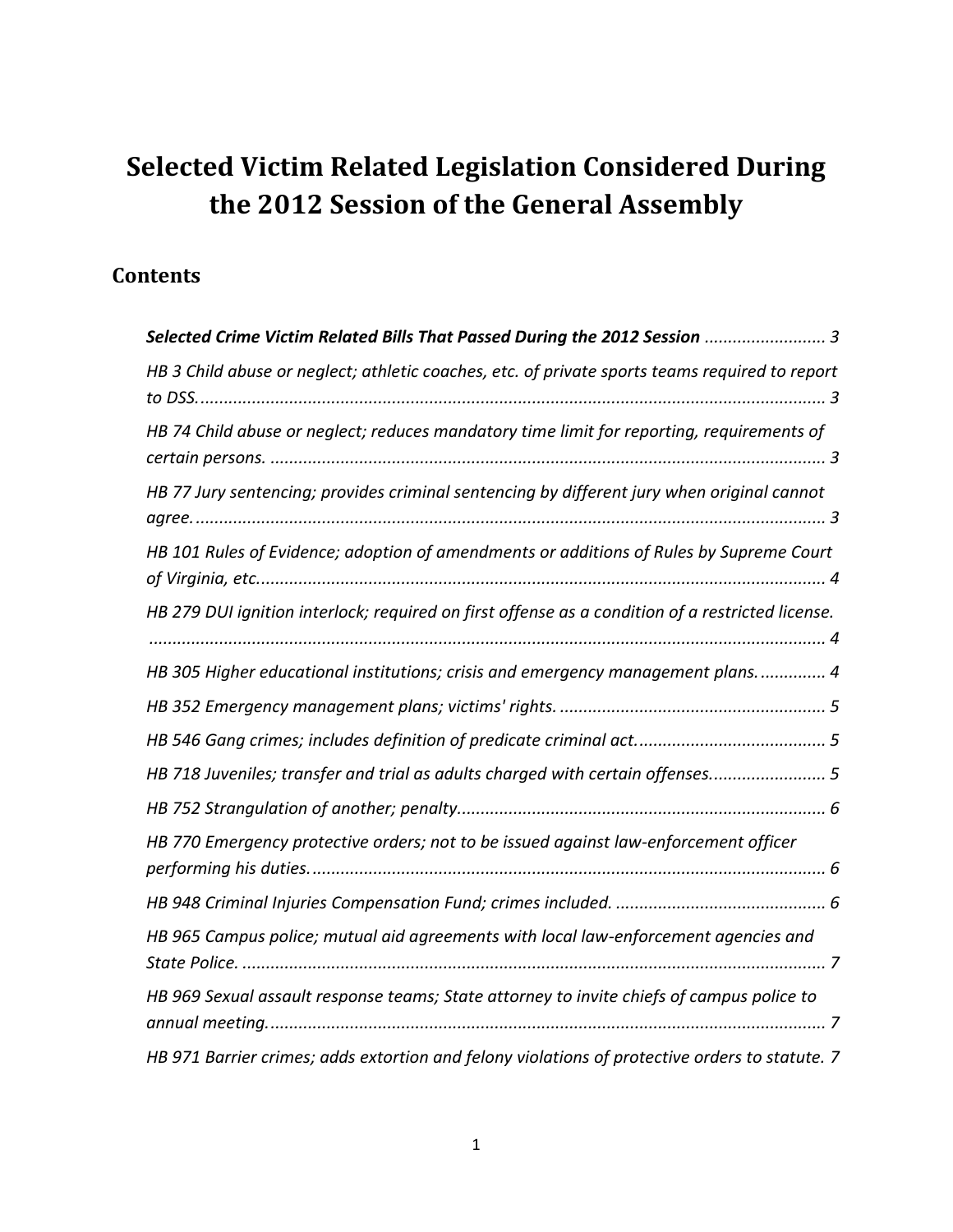# **Selected Victim Related Legislation Considered During the 2012 Session of the General Assembly**

## **Contents**

| Selected Crime Victim Related Bills That Passed During the 2012 Session  3                       |
|--------------------------------------------------------------------------------------------------|
| HB 3 Child abuse or neglect; athletic coaches, etc. of private sports teams required to report   |
|                                                                                                  |
| HB 74 Child abuse or neglect; reduces mandatory time limit for reporting, requirements of        |
| HB 77 Jury sentencing; provides criminal sentencing by different jury when original cannot       |
|                                                                                                  |
| HB 101 Rules of Evidence; adoption of amendments or additions of Rules by Supreme Court          |
| HB 279 DUI ignition interlock; required on first offense as a condition of a restricted license. |
| HB 305 Higher educational institutions; crisis and emergency management plans 4                  |
|                                                                                                  |
|                                                                                                  |
| HB 718 Juveniles; transfer and trial as adults charged with certain offenses 5                   |
|                                                                                                  |
| HB 770 Emergency protective orders; not to be issued against law-enforcement officer             |
|                                                                                                  |
| HB 965 Campus police; mutual aid agreements with local law-enforcement agencies and              |
| HB 969 Sexual assault response teams; State attorney to invite chiefs of campus police to        |
| HB 971 Barrier crimes; adds extortion and felony violations of protective orders to statute. 7   |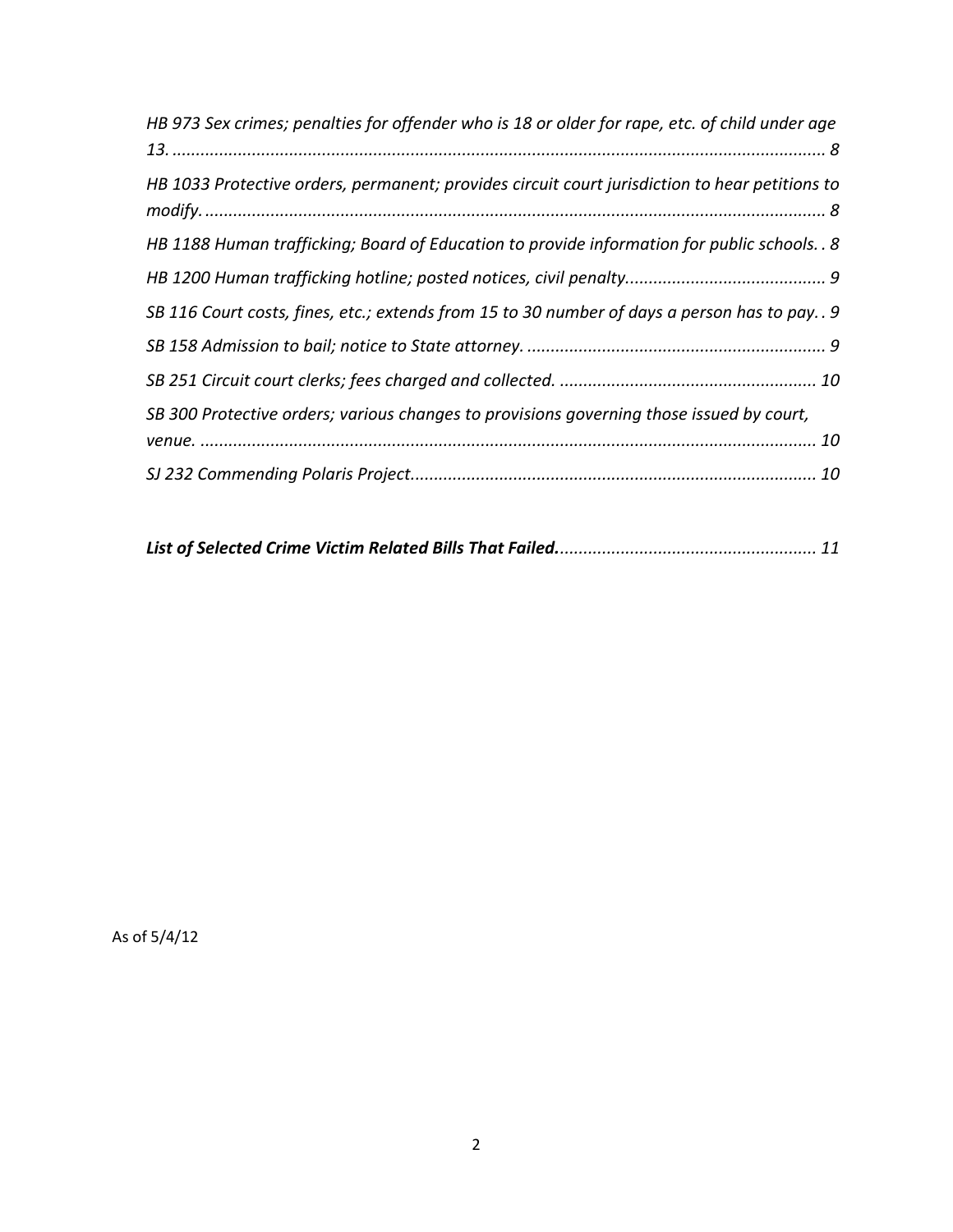| HB 973 Sex crimes; penalties for offender who is 18 or older for rape, etc. of child under age |
|------------------------------------------------------------------------------------------------|
| HB 1033 Protective orders, permanent; provides circuit court jurisdiction to hear petitions to |
| HB 1188 Human trafficking; Board of Education to provide information for public schools. . 8   |
|                                                                                                |
| SB 116 Court costs, fines, etc.; extends from 15 to 30 number of days a person has to pay. . 9 |
|                                                                                                |
|                                                                                                |
| SB 300 Protective orders; various changes to provisions governing those issued by court,       |
|                                                                                                |
|                                                                                                |

|--|--|

As of 5/4/12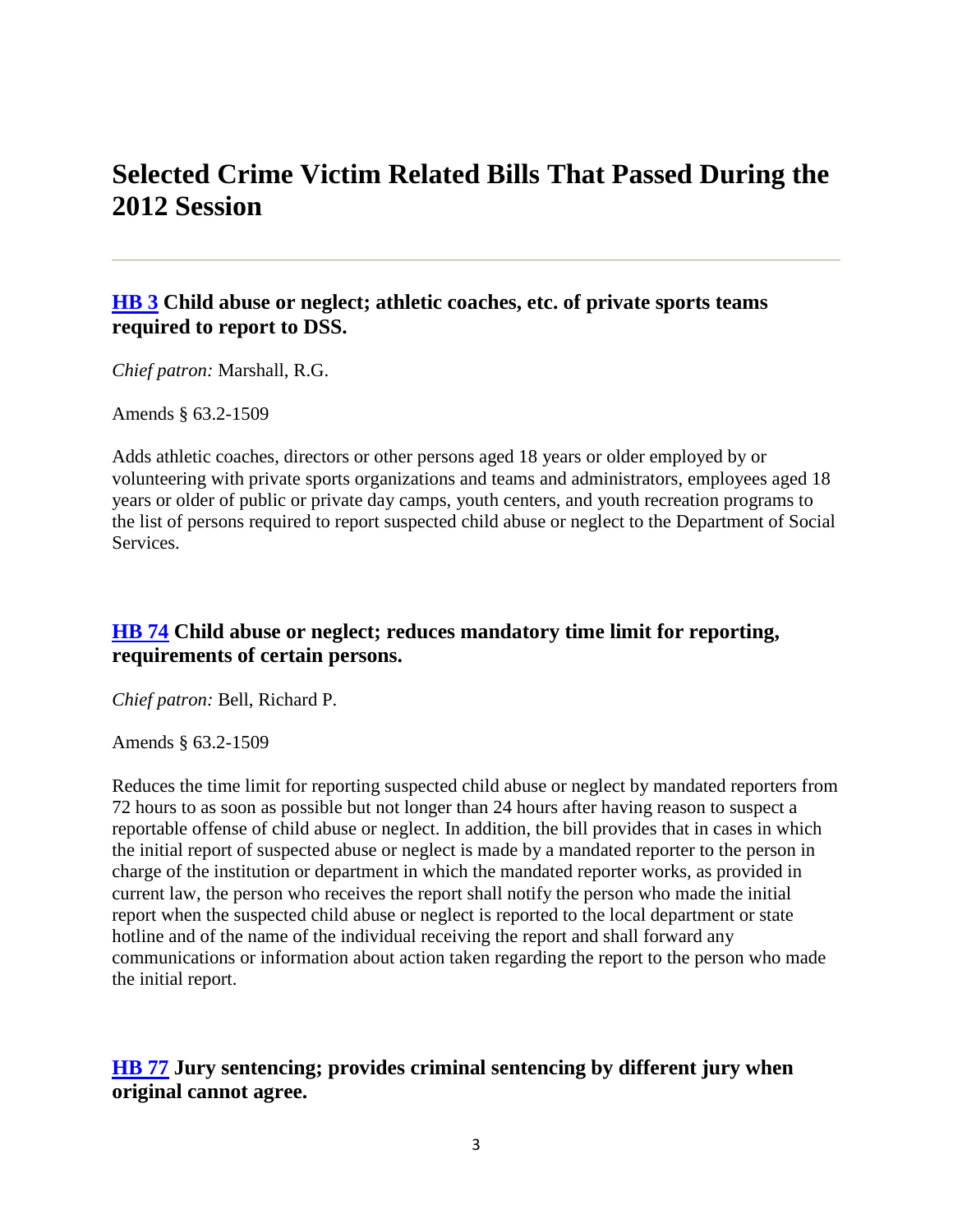## <span id="page-2-0"></span>**Selected Crime Victim Related Bills That Passed During the 2012 Session**

#### <span id="page-2-1"></span>**[HB 3](http://leg1.state.va.us/cgi-bin/legp504.exe?121+sum+HB3) Child abuse or neglect; athletic coaches, etc. of private sports teams required to report to DSS.**

*Chief patron:* Marshall, R.G.

Amends § 63.2-1509

Adds athletic coaches, directors or other persons aged 18 years or older employed by or volunteering with private sports organizations and teams and administrators, employees aged 18 years or older of public or private day camps, youth centers, and youth recreation programs to the list of persons required to report suspected child abuse or neglect to the Department of Social Services.

## <span id="page-2-2"></span>**[HB 74](http://leg1.state.va.us/cgi-bin/legp504.exe?121+sum+HB74) Child abuse or neglect; reduces mandatory time limit for reporting, requirements of certain persons.**

*Chief patron:* Bell, Richard P.

Amends § 63.2-1509

Reduces the time limit for reporting suspected child abuse or neglect by mandated reporters from 72 hours to as soon as possible but not longer than 24 hours after having reason to suspect a reportable offense of child abuse or neglect. In addition, the bill provides that in cases in which the initial report of suspected abuse or neglect is made by a mandated reporter to the person in charge of the institution or department in which the mandated reporter works, as provided in current law, the person who receives the report shall notify the person who made the initial report when the suspected child abuse or neglect is reported to the local department or state hotline and of the name of the individual receiving the report and shall forward any communications or information about action taken regarding the report to the person who made the initial report.

## <span id="page-2-3"></span>**[HB 77](http://leg1.state.va.us/cgi-bin/legp504.exe?121+sum+HB77) Jury sentencing; provides criminal sentencing by different jury when original cannot agree.**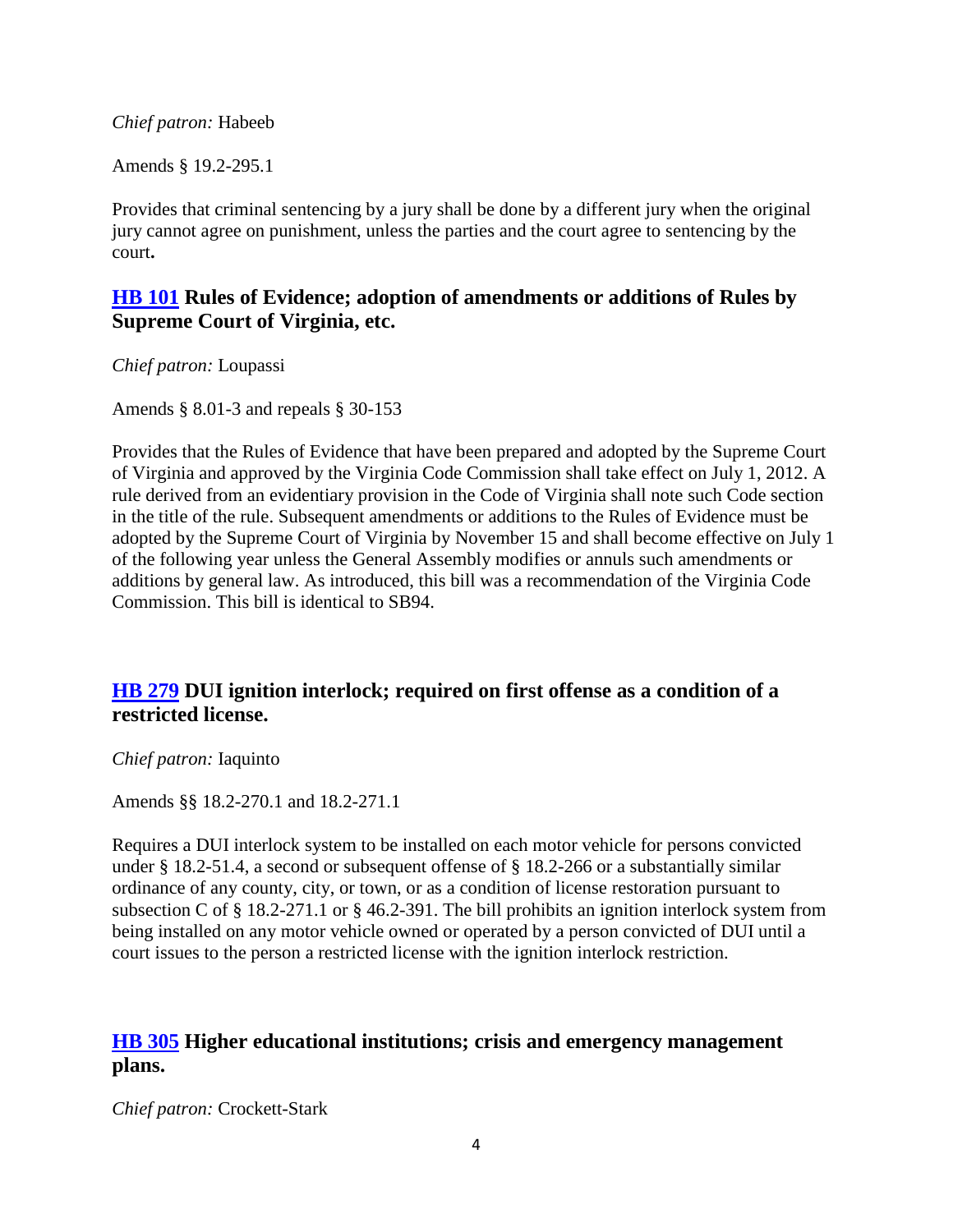*Chief patron:* Habeeb

Amends § 19.2-295.1

Provides that criminal sentencing by a jury shall be done by a different jury when the original jury cannot agree on punishment, unless the parties and the court agree to sentencing by the court**.**

#### <span id="page-3-0"></span>**[HB 101](http://leg1.state.va.us/cgi-bin/legp504.exe?121+sum+HB101) Rules of Evidence; adoption of amendments or additions of Rules by Supreme Court of Virginia, etc.**

*Chief patron:* Loupassi

Amends § 8.01-3 and repeals § 30-153

Provides that the Rules of Evidence that have been prepared and adopted by the Supreme Court of Virginia and approved by the Virginia Code Commission shall take effect on July 1, 2012. A rule derived from an evidentiary provision in the Code of Virginia shall note such Code section in the title of the rule. Subsequent amendments or additions to the Rules of Evidence must be adopted by the Supreme Court of Virginia by November 15 and shall become effective on July 1 of the following year unless the General Assembly modifies or annuls such amendments or additions by general law. As introduced, this bill was a recommendation of the Virginia Code Commission. This bill is identical to SB94.

## <span id="page-3-1"></span>**[HB 279](http://leg1.state.va.us/cgi-bin/legp504.exe?121+sum+HB279) DUI ignition interlock; required on first offense as a condition of a restricted license.**

#### *Chief patron:* Iaquinto

Amends §§ 18.2-270.1 and 18.2-271.1

Requires a DUI interlock system to be installed on each motor vehicle for persons convicted under § 18.2-51.4, a second or subsequent offense of § 18.2-266 or a substantially similar ordinance of any county, city, or town, or as a condition of license restoration pursuant to subsection C of § 18.2-271.1 or § 46.2-391. The bill prohibits an ignition interlock system from being installed on any motor vehicle owned or operated by a person convicted of DUI until a court issues to the person a restricted license with the ignition interlock restriction.

## <span id="page-3-2"></span>**[HB 305](http://leg1.state.va.us/cgi-bin/legp504.exe?121+sum+HB305) Higher educational institutions; crisis and emergency management plans.**

*Chief patron:* Crockett-Stark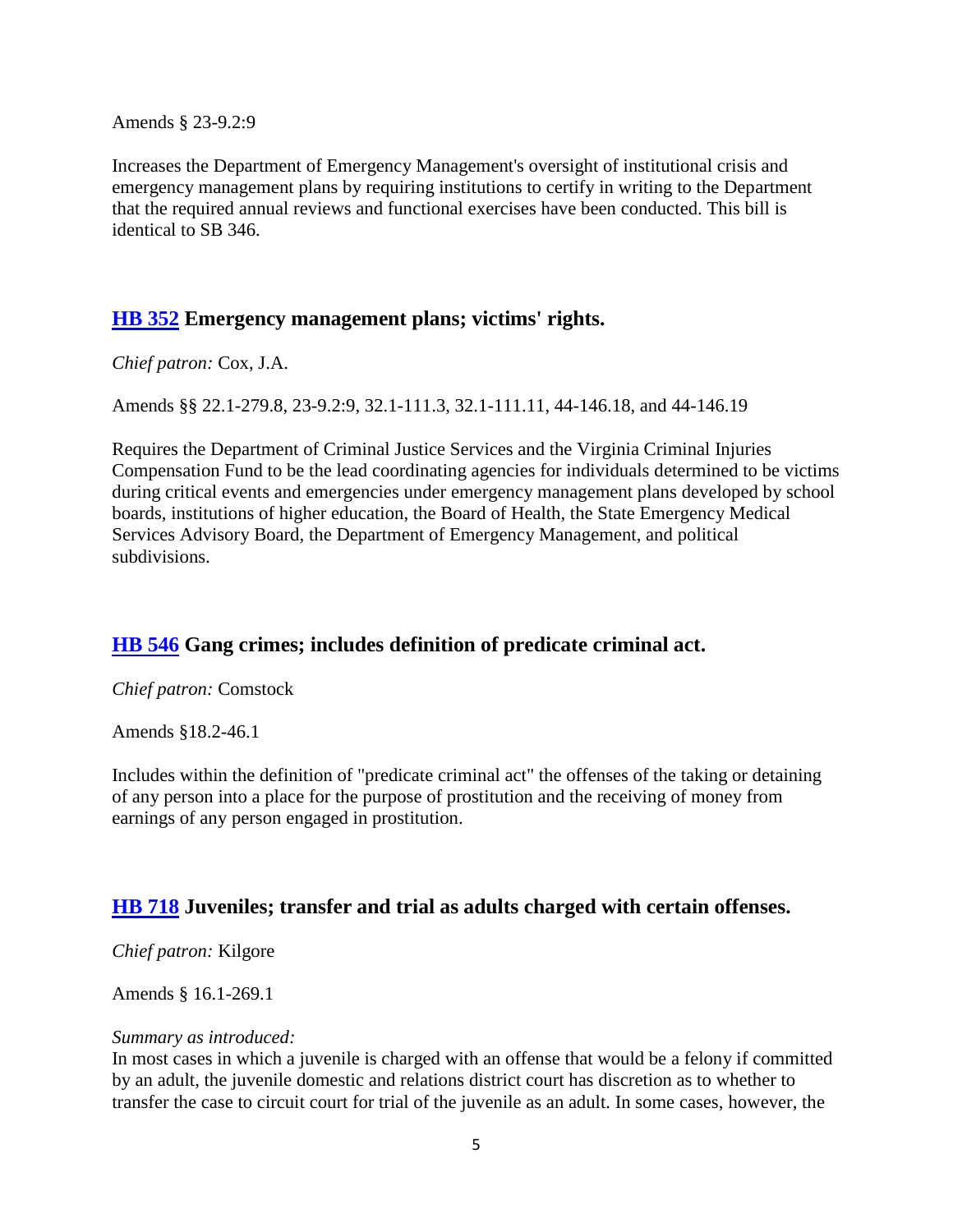Amends § 23-9.2:9

Increases the Department of Emergency Management's oversight of institutional crisis and emergency management plans by requiring institutions to certify in writing to the Department that the required annual reviews and functional exercises have been conducted. This bill is identical to SB 346.

#### <span id="page-4-0"></span>**[HB 352](http://leg1.state.va.us/cgi-bin/legp504.exe?121+sum+HB352) Emergency management plans; victims' rights.**

*Chief patron:* Cox, J.A.

Amends §§ 22.1-279.8, 23-9.2:9, 32.1-111.3, 32.1-111.11, 44-146.18, and 44-146.19

Requires the Department of Criminal Justice Services and the Virginia Criminal Injuries Compensation Fund to be the lead coordinating agencies for individuals determined to be victims during critical events and emergencies under emergency management plans developed by school boards, institutions of higher education, the Board of Health, the State Emergency Medical Services Advisory Board, the Department of Emergency Management, and political subdivisions.

#### <span id="page-4-1"></span>**[HB 546](http://leg1.state.va.us/cgi-bin/legp504.exe?121+sum+HB546) Gang crimes; includes definition of predicate criminal act.**

*Chief patron:* Comstock

Amends §18.2-46.1

Includes within the definition of "predicate criminal act" the offenses of the taking or detaining of any person into a place for the purpose of prostitution and the receiving of money from earnings of any person engaged in prostitution.

#### <span id="page-4-2"></span>**[HB 718](http://leg1.state.va.us/cgi-bin/legp504.exe?121+sum+HB718) Juveniles; transfer and trial as adults charged with certain offenses.**

*Chief patron:* Kilgore

Amends § 16.1-269.1

#### *Summary as introduced:*

In most cases in which a juvenile is charged with an offense that would be a felony if committed by an adult, the juvenile domestic and relations district court has discretion as to whether to transfer the case to circuit court for trial of the juvenile as an adult. In some cases, however, the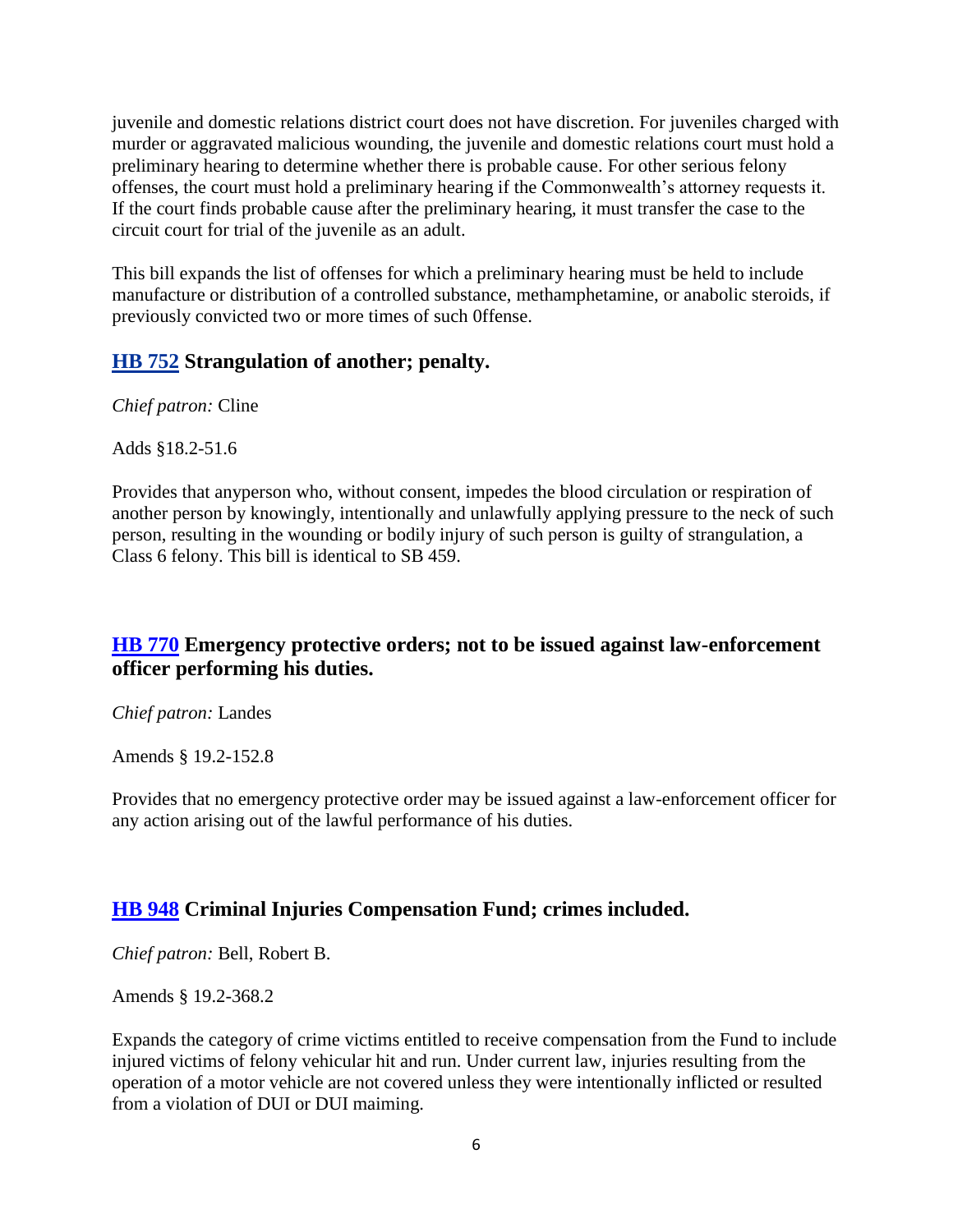juvenile and domestic relations district court does not have discretion. For juveniles charged with murder or aggravated malicious wounding, the juvenile and domestic relations court must hold a preliminary hearing to determine whether there is probable cause. For other serious felony offenses, the court must hold a preliminary hearing if the Commonwealth's attorney requests it. If the court finds probable cause after the preliminary hearing, it must transfer the case to the circuit court for trial of the juvenile as an adult.

This bill expands the list of offenses for which a preliminary hearing must be held to include manufacture or distribution of a controlled substance, methamphetamine, or anabolic steroids, if previously convicted two or more times of such 0ffense.

#### <span id="page-5-0"></span>**[HB 752](http://leg1.state.va.us/cgi-bin/legp504.exe?121+sum+HB752) Strangulation of another; penalty.**

*Chief patron:* Cline

Adds §18.2-51.6

Provides that anyperson who, without consent, impedes the blood circulation or respiration of another person by knowingly, intentionally and unlawfully applying pressure to the neck of such person, resulting in the wounding or bodily injury of such person is guilty of strangulation, a Class 6 felony. This bill is identical to SB 459.

#### <span id="page-5-1"></span>**[HB 770](http://leg1.state.va.us/cgi-bin/legp504.exe?121+sum+HB770) Emergency protective orders; not to be issued against law-enforcement officer performing his duties.**

*Chief patron:* Landes

Amends § 19.2-152.8

Provides that no emergency protective order may be issued against a law-enforcement officer for any action arising out of the lawful performance of his duties.

## <span id="page-5-2"></span>**[HB 948](http://leg1.state.va.us/cgi-bin/legp504.exe?121+sum+HB948) Criminal Injuries Compensation Fund; crimes included.**

*Chief patron:* Bell, Robert B.

Amends § 19.2-368.2

Expands the category of crime victims entitled to receive compensation from the Fund to include injured victims of felony vehicular hit and run. Under current law, injuries resulting from the operation of a motor vehicle are not covered unless they were intentionally inflicted or resulted from a violation of DUI or DUI maiming.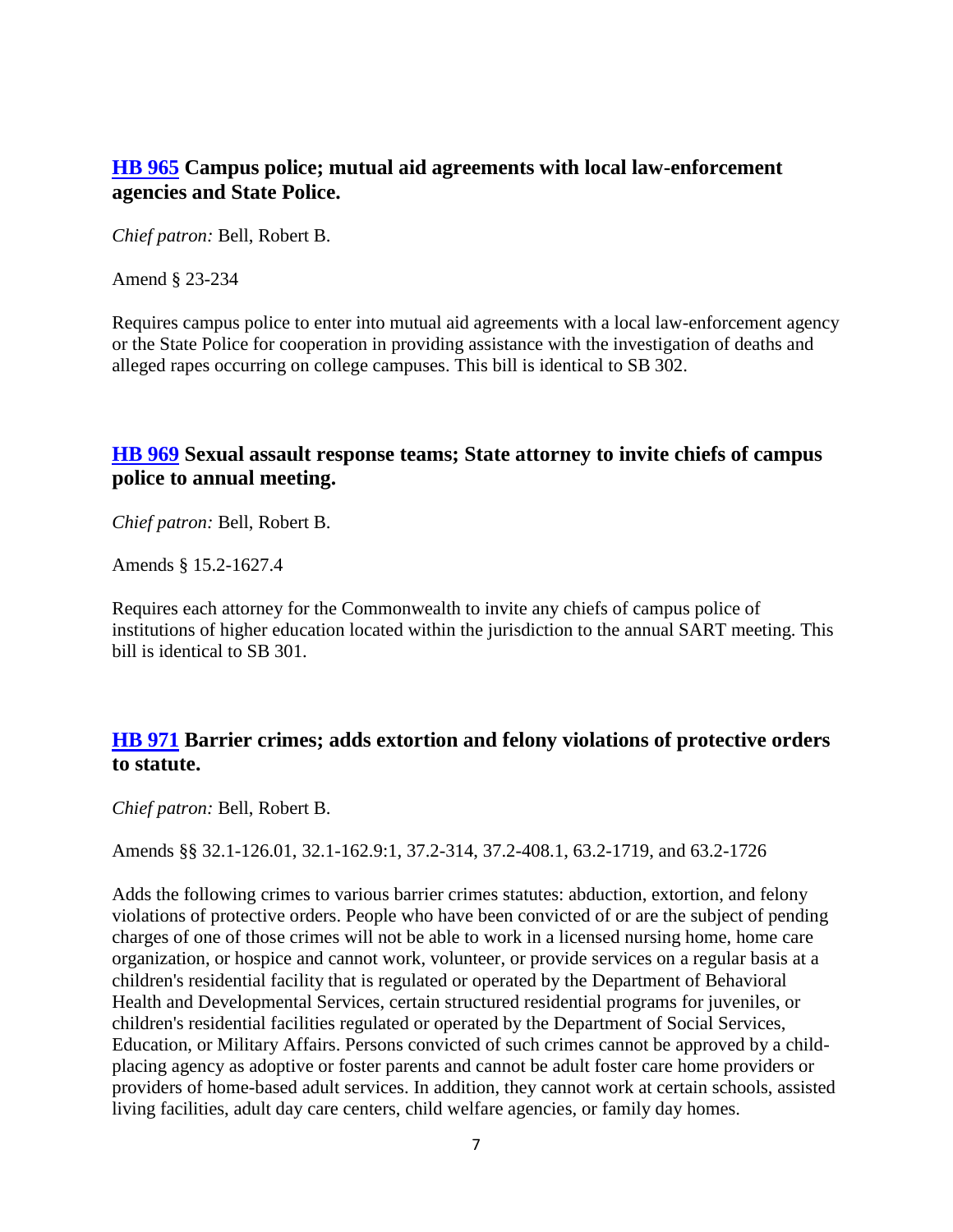#### <span id="page-6-0"></span>**[HB 965](http://leg1.state.va.us/cgi-bin/legp504.exe?121+sum+HB965) Campus police; mutual aid agreements with local law-enforcement agencies and State Police.**

*Chief patron:* Bell, Robert B.

Amend § 23-234

Requires campus police to enter into mutual aid agreements with a local law-enforcement agency or the State Police for cooperation in providing assistance with the investigation of deaths and alleged rapes occurring on college campuses. This bill is identical to SB 302.

#### <span id="page-6-1"></span>**[HB 969](http://leg1.state.va.us/cgi-bin/legp504.exe?121+sum+HB969) Sexual assault response teams; State attorney to invite chiefs of campus police to annual meeting.**

*Chief patron:* Bell, Robert B.

Amends § 15.2-1627.4

Requires each attorney for the Commonwealth to invite any chiefs of campus police of institutions of higher education located within the jurisdiction to the annual SART meeting. This bill is identical to SB 301.

## <span id="page-6-2"></span>**[HB 971](http://leg1.state.va.us/cgi-bin/legp504.exe?121+sum+HB971) Barrier crimes; adds extortion and felony violations of protective orders to statute.**

*Chief patron:* Bell, Robert B.

Amends §§ 32.1-126.01, 32.1-162.9:1, 37.2-314, 37.2-408.1, 63.2-1719, and 63.2-1726

Adds the following crimes to various barrier crimes statutes: abduction, extortion, and felony violations of protective orders. People who have been convicted of or are the subject of pending charges of one of those crimes will not be able to work in a licensed nursing home, home care organization, or hospice and cannot work, volunteer, or provide services on a regular basis at a children's residential facility that is regulated or operated by the Department of Behavioral Health and Developmental Services, certain structured residential programs for juveniles, or children's residential facilities regulated or operated by the Department of Social Services, Education, or Military Affairs. Persons convicted of such crimes cannot be approved by a childplacing agency as adoptive or foster parents and cannot be adult foster care home providers or providers of home-based adult services. In addition, they cannot work at certain schools, assisted living facilities, adult day care centers, child welfare agencies, or family day homes.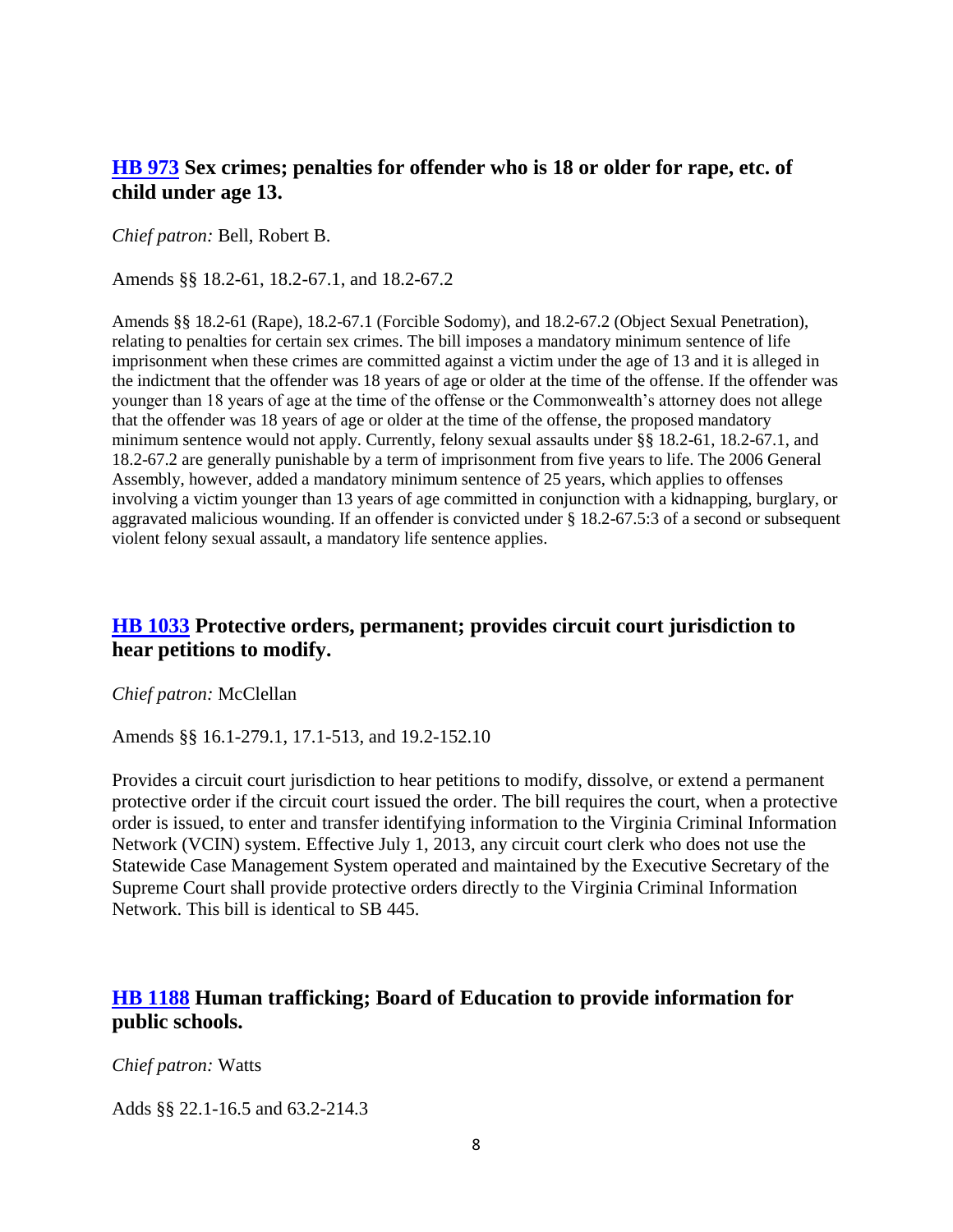#### <span id="page-7-0"></span>**[HB 973](http://leg1.state.va.us/cgi-bin/legp504.exe?121+sum+HB973) Sex crimes; penalties for offender who is 18 or older for rape, etc. of child under age 13.**

*Chief patron:* Bell, Robert B.

Amends §§ 18.2-61, 18.2-67.1, and 18.2-67.2

Amends §§ 18.2-61 (Rape), 18.2-67.1 (Forcible Sodomy), and 18.2-67.2 (Object Sexual Penetration), relating to penalties for certain sex crimes. The bill imposes a mandatory minimum sentence of life imprisonment when these crimes are committed against a victim under the age of 13 and it is alleged in the indictment that the offender was 18 years of age or older at the time of the offense. If the offender was younger than 18 years of age at the time of the offense or the Commonwealth's attorney does not allege that the offender was 18 years of age or older at the time of the offense, the proposed mandatory minimum sentence would not apply. Currently, felony sexual assaults under §§ 18.2-61, 18.2-67.1, and 18.2-67.2 are generally punishable by a term of imprisonment from five years to life. The 2006 General Assembly, however, added a mandatory minimum sentence of 25 years, which applies to offenses involving a victim younger than 13 years of age committed in conjunction with a kidnapping, burglary, or aggravated malicious wounding. If an offender is convicted under § 18.2-67.5:3 of a second or subsequent violent felony sexual assault, a mandatory life sentence applies.

#### <span id="page-7-1"></span>**[HB 1033](http://leg1.state.va.us/cgi-bin/legp504.exe?121+sum+HB1033) Protective orders, permanent; provides circuit court jurisdiction to hear petitions to modify.**

*Chief patron:* McClellan

Amends §§ 16.1-279.1, 17.1-513, and 19.2-152.10

Provides a circuit court jurisdiction to hear petitions to modify, dissolve, or extend a permanent protective order if the circuit court issued the order. The bill requires the court, when a protective order is issued, to enter and transfer identifying information to the Virginia Criminal Information Network (VCIN) system. Effective July 1, 2013, any circuit court clerk who does not use the Statewide Case Management System operated and maintained by the Executive Secretary of the Supreme Court shall provide protective orders directly to the Virginia Criminal Information Network. This bill is identical to SB 445.

#### <span id="page-7-2"></span>**[HB 1188](http://leg1.state.va.us/cgi-bin/legp504.exe?121+sum+HB1188) Human trafficking; Board of Education to provide information for public schools.**

*Chief patron:* Watts

Adds §§ 22.1-16.5 and 63.2-214.3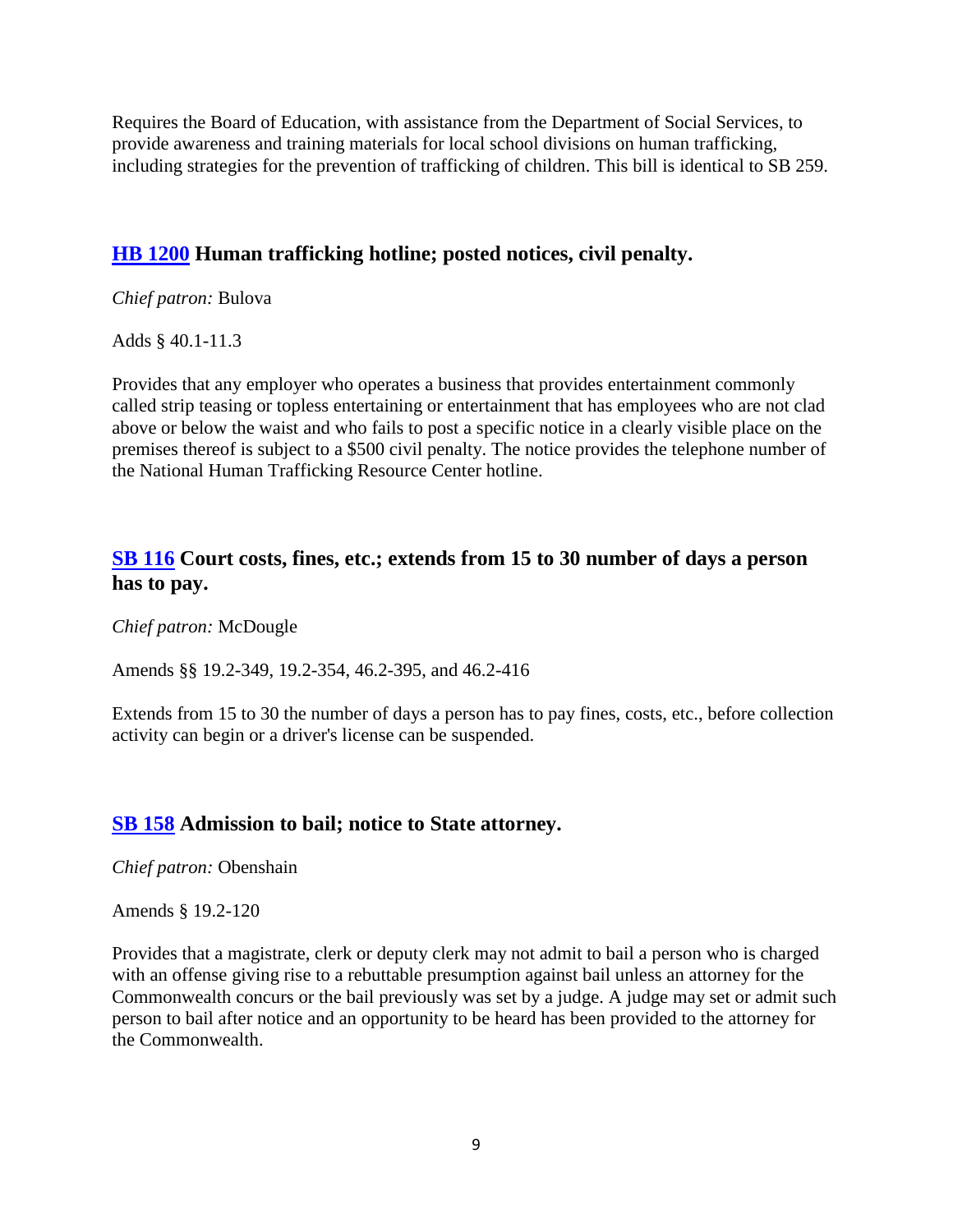Requires the Board of Education, with assistance from the Department of Social Services, to provide awareness and training materials for local school divisions on human trafficking, including strategies for the prevention of trafficking of children. This bill is identical to SB 259.

#### <span id="page-8-0"></span>**[HB 1200](http://leg1.state.va.us/cgi-bin/legp504.exe?121+sum+HB1200) Human trafficking hotline; posted notices, civil penalty.**

*Chief patron:* Bulova

Adds § 40.1-11.3

Provides that any employer who operates a business that provides entertainment commonly called strip teasing or topless entertaining or entertainment that has employees who are not clad above or below the waist and who fails to post a specific notice in a clearly visible place on the premises thereof is subject to a \$500 civil penalty. The notice provides the telephone number of the National Human Trafficking Resource Center hotline.

#### <span id="page-8-1"></span>**[SB 116](http://leg1.state.va.us/cgi-bin/legp504.exe?121+sum+SB116) Court costs, fines, etc.; extends from 15 to 30 number of days a person has to pay.**

*Chief patron:* McDougle

Amends §§ 19.2-349, 19.2-354, 46.2-395, and 46.2-416

Extends from 15 to 30 the number of days a person has to pay fines, costs, etc., before collection activity can begin or a driver's license can be suspended.

#### <span id="page-8-2"></span>**[SB 158](http://leg1.state.va.us/cgi-bin/legp504.exe?121+sum+SB158) Admission to bail; notice to State attorney.**

*Chief patron:* Obenshain

Amends § 19.2-120

Provides that a magistrate, clerk or deputy clerk may not admit to bail a person who is charged with an offense giving rise to a rebuttable presumption against bail unless an attorney for the Commonwealth concurs or the bail previously was set by a judge. A judge may set or admit such person to bail after notice and an opportunity to be heard has been provided to the attorney for the Commonwealth.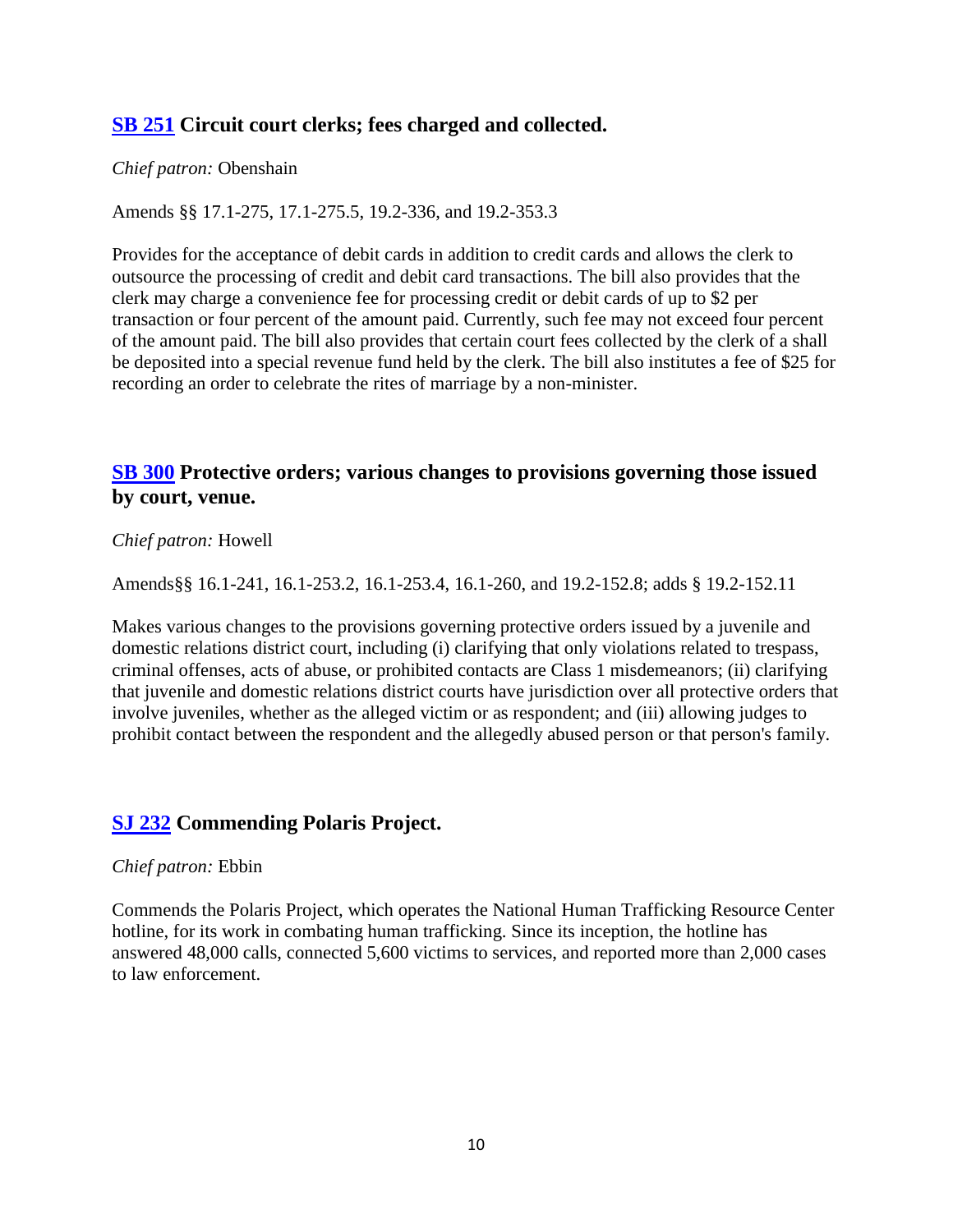#### <span id="page-9-0"></span>**[SB 251](http://leg1.state.va.us/cgi-bin/legp504.exe?121+sum+SB251) Circuit court clerks; fees charged and collected.**

#### *Chief patron:* Obenshain

Amends §§ 17.1-275, 17.1-275.5, 19.2-336, and 19.2-353.3

Provides for the acceptance of debit cards in addition to credit cards and allows the clerk to outsource the processing of credit and debit card transactions. The bill also provides that the clerk may charge a convenience fee for processing credit or debit cards of up to \$2 per transaction or four percent of the amount paid. Currently, such fee may not exceed four percent of the amount paid. The bill also provides that certain court fees collected by the clerk of a shall be deposited into a special revenue fund held by the clerk. The bill also institutes a fee of \$25 for recording an order to celebrate the rites of marriage by a non-minister.

#### <span id="page-9-1"></span>**[SB 300](http://leg1.state.va.us/cgi-bin/legp504.exe?121+sum+SB300) Protective orders; various changes to provisions governing those issued by court, venue.**

#### *Chief patron:* Howell

Amends§§ 16.1-241, 16.1-253.2, 16.1-253.4, 16.1-260, and 19.2-152.8; adds § 19.2-152.11

Makes various changes to the provisions governing protective orders issued by a juvenile and domestic relations district court, including (i) clarifying that only violations related to trespass, criminal offenses, acts of abuse, or prohibited contacts are Class 1 misdemeanors; (ii) clarifying that juvenile and domestic relations district courts have jurisdiction over all protective orders that involve juveniles, whether as the alleged victim or as respondent; and (iii) allowing judges to prohibit contact between the respondent and the allegedly abused person or that person's family.

#### <span id="page-9-2"></span>**[SJ 232](http://leg1.state.va.us/cgi-bin/legp504.exe?121+sum+SJ232) Commending Polaris Project.**

#### *Chief patron:* Ebbin

Commends the Polaris Project, which operates the National Human Trafficking Resource Center hotline, for its work in combating human trafficking. Since its inception, the hotline has answered 48,000 calls, connected 5,600 victims to services, and reported more than 2,000 cases to law enforcement.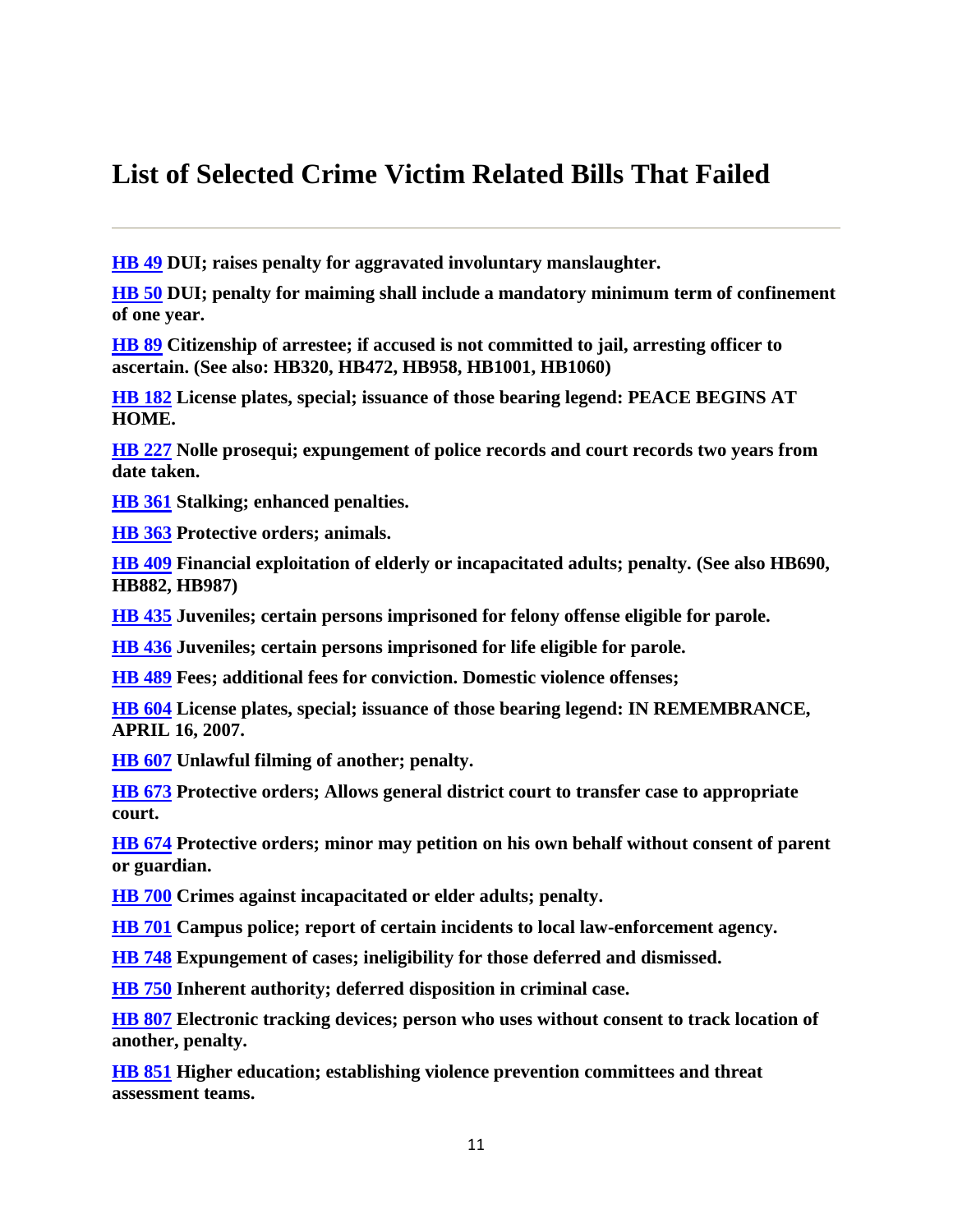## <span id="page-10-0"></span>**List of Selected Crime Victim Related Bills That Failed**

**[HB 49](http://leg1.state.va.us/cgi-bin/legp504.exe?121+sum+HB49) DUI; raises penalty for aggravated involuntary manslaughter.**

**[HB 50](http://leg1.state.va.us/cgi-bin/legp504.exe?121+sum+HB50) DUI; penalty for maiming shall include a mandatory minimum term of confinement of one year.**

**[HB 89](http://leg1.state.va.us/cgi-bin/legp504.exe?121+sum+HB89) Citizenship of arrestee; if accused is not committed to jail, arresting officer to ascertain. (See also: HB320, HB472, HB958, HB1001, HB1060)**

**[HB 182](http://leg1.state.va.us/cgi-bin/legp504.exe?121+sum+HB182) License plates, special; issuance of those bearing legend: PEACE BEGINS AT HOME.**

**[HB 227](http://leg1.state.va.us/cgi-bin/legp504.exe?121+sum+HB227) Nolle prosequi; expungement of police records and court records two years from date taken.**

**[HB 361](http://leg1.state.va.us/cgi-bin/legp504.exe?121+sum+HB361) Stalking; enhanced penalties.**

**[HB 363](http://leg1.state.va.us/cgi-bin/legp504.exe?121+sum+HB363) Protective orders; animals.**

**[HB 409](http://leg1.state.va.us/cgi-bin/legp504.exe?121+sum+HB409) Financial exploitation of elderly or incapacitated adults; penalty. (See also HB690, HB882, HB987)**

**[HB 435](http://leg1.state.va.us/cgi-bin/legp504.exe?121+sum+HB435) Juveniles; certain persons imprisoned for felony offense eligible for parole.**

**[HB 436](http://leg1.state.va.us/cgi-bin/legp504.exe?121+sum+HB436) Juveniles; certain persons imprisoned for life eligible for parole.**

**[HB 489](http://leg1.state.va.us/cgi-bin/legp504.exe?121+sum+HB489) Fees; additional fees for conviction. Domestic violence offenses;**

**[HB 604](http://leg1.state.va.us/cgi-bin/legp504.exe?121+sum+HB604) License plates, special; issuance of those bearing legend: IN REMEMBRANCE, APRIL 16, 2007.**

**[HB 607](http://leg1.state.va.us/cgi-bin/legp504.exe?121+sum+HB607) Unlawful filming of another; penalty.**

**[HB 673](http://leg1.state.va.us/cgi-bin/legp504.exe?121+sum+HB673) Protective orders; Allows general district court to transfer case to appropriate court.**

**[HB 674](http://leg1.state.va.us/cgi-bin/legp504.exe?121+sum+HB674) Protective orders; minor may petition on his own behalf without consent of parent or guardian.**

**[HB 700](http://leg1.state.va.us/cgi-bin/legp504.exe?121+sum+HB700) Crimes against incapacitated or elder adults; penalty.**

**[HB 701](http://leg1.state.va.us/cgi-bin/legp504.exe?121+sum+HB701) Campus police; report of certain incidents to local law-enforcement agency.**

**[HB 748](http://leg1.state.va.us/cgi-bin/legp504.exe?121+sum+HB748) Expungement of cases; ineligibility for those deferred and dismissed.**

**[HB 750](http://leg1.state.va.us/cgi-bin/legp504.exe?121+sum+HB750) Inherent authority; deferred disposition in criminal case.**

**[HB 807](http://leg1.state.va.us/cgi-bin/legp504.exe?121+sum+HB807) Electronic tracking devices; person who uses without consent to track location of another, penalty.**

**[HB 851](http://leg1.state.va.us/cgi-bin/legp504.exe?121+sum+HB851) Higher education; establishing violence prevention committees and threat assessment teams.**